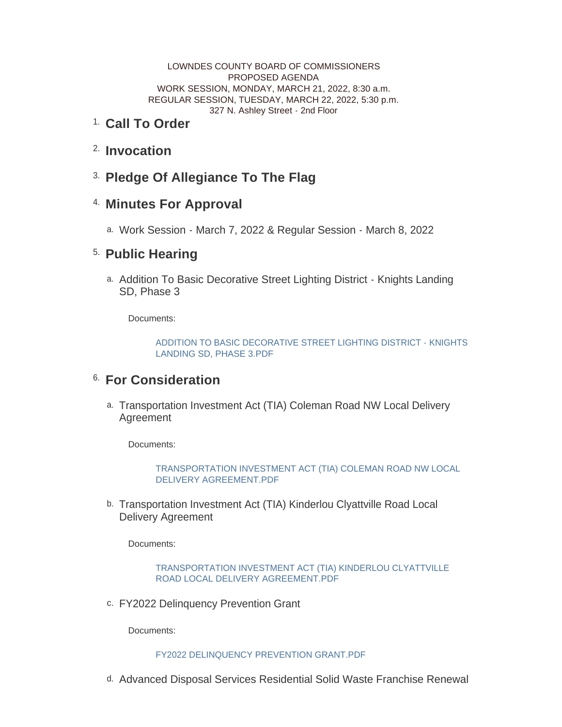LOWNDES COUNTY BOARD OF COMMISSIONERS PROPOSED AGENDA WORK SESSION, MONDAY, MARCH 21, 2022, 8:30 a.m. REGULAR SESSION, TUESDAY, MARCH 22, 2022, 5:30 p.m. 327 N. Ashley Street - 2nd Floor

#### <sup>1.</sup> Call To Order

- <sup>2.</sup> Invocation
- **Pledge Of Allegiance To The Flag** 3.

## **Minutes For Approval** 4.

Work Session - March 7, 2022 & Regular Session - March 8, 2022 a.

# <sup>5.</sup> Public Hearing

a. Addition To Basic Decorative Street Lighting District - Knights Landing SD, Phase 3

Documents:

[ADDITION TO BASIC DECORATIVE STREET LIGHTING DISTRICT - KNIGHTS](http://www.lowndescounty.com/AgendaCenter/ViewFile/Item/3459?fileID=4031)  LANDING SD, PHASE 3.PDF

# <sup>6.</sup> For Consideration

Transportation Investment Act (TIA) Coleman Road NW Local Delivery a. Agreement

Documents:

[TRANSPORTATION INVESTMENT ACT \(TIA\) COLEMAN ROAD NW LOCAL](http://www.lowndescounty.com/AgendaCenter/ViewFile/Item/3460?fileID=4032)  DELIVERY AGREEMENT.PDF

b. Transportation Investment Act (TIA) Kinderlou Clyattville Road Local Delivery Agreement

Documents:

[TRANSPORTATION INVESTMENT ACT \(TIA\) KINDERLOU CLYATTVILLE](http://www.lowndescounty.com/AgendaCenter/ViewFile/Item/3461?fileID=4033)  ROAD LOCAL DELIVERY AGREEMENT.PDF

c. FY2022 Delinquency Prevention Grant

Documents:

#### [FY2022 DELINQUENCY PREVENTION GRANT.PDF](http://www.lowndescounty.com/AgendaCenter/ViewFile/Item/3462?fileID=4034)

d. Advanced Disposal Services Residential Solid Waste Franchise Renewal